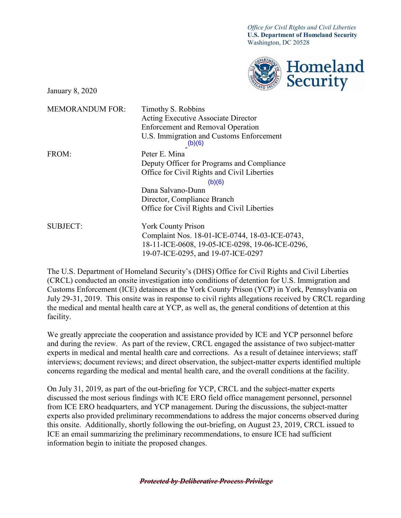*Office for Civil Rights and Civil Liberties*  **U.S. Department of Homeland Security**  Washington, DC 20528



January 8, 2020

| <b>MEMORANDUM FOR:</b> | Timothy S. Robbins<br><b>Acting Executive Associate Director</b> |
|------------------------|------------------------------------------------------------------|
|                        | <b>Enforcement and Removal Operation</b>                         |
|                        | U.S. Immigration and Customs Enforcement<br>(b)(6)               |
| FROM:                  | Peter E. Mina                                                    |
|                        | Deputy Officer for Programs and Compliance                       |
|                        | Office for Civil Rights and Civil Liberties                      |
|                        | (b)(6)                                                           |
|                        | Dana Salvano-Dunn                                                |
|                        | Director, Compliance Branch                                      |
|                        | Office for Civil Rights and Civil Liberties                      |
| <b>SUBJECT:</b>        | <b>York County Prison</b>                                        |
|                        | Complaint Nos. 18-01-ICE-0744, 18-03-ICE-0743,                   |
|                        | 18-11-ICE-0608, 19-05-ICE-0298, 19-06-ICE-0296,                  |
|                        | 19-07-ICE-0295, and 19-07-ICE-0297                               |

The U.S. Department of Homeland Security's (DHS) Office for Civil Rights and Civil Liberties (CRCL) conducted an onsite investigation into conditions of detention for U.S. Immigration and Customs Enforcement (ICE) detainees at the York County Prison (YCP) in York, Pennsylvania on July 29-31, 2019. This onsite was in response to civil rights allegations received by CRCL regarding the medical and mental health care at YCP, as well as, the general conditions of detention at this facility.

 We greatly appreciate the cooperation and assistance provided by ICE and YCP personnel before concerns regarding the medical and mental health care, and the overall conditions at the facility. and during the review. As part of the review, CRCL engaged the assistance of two subject-matter experts in medical and mental health care and corrections. As a result of detainee interviews; staff interviews; document reviews; and direct observation, the subject-matter experts identified multiple

On July 31, 2019, as part of the out-briefing for YCP, CRCL and the subject-matter experts discussed the most serious findings with ICE ERO field office management personnel, personnel from ICE ERO headquarters, and YCP management. During the discussions, the subject-matter experts also provided preliminary recommendations to address the major concerns observed during this onsite. Additionally, shortly following the out-briefing, on August 23, 2019, CRCL issued to ICE an email summarizing the preliminary recommendations, to ensure ICE had sufficient information begin to initiate the proposed changes.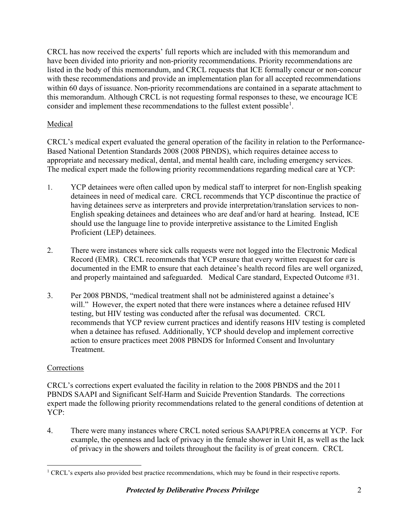CRCL has now received the experts' full reports which are included with this memorandum and have been divided into priority and non-priority recommendations. Priority recommendations are listed in the body of this memorandum, and CRCL requests that ICE formally concur or non-concur with these recommendations and provide an implementation plan for all accepted recommendations within 60 days of issuance. Non-priority recommendations are contained in a separate attachment to this memorandum. Although CRCL is not requesting formal responses to these, we encourage ICE consider and implement these recommendations to the fullest extent possible<sup>[1](#page-1-0)</sup>.

## Medical

appropriate and necessary medical, dental, and mental health care, including emergency services. CRCL's medical expert evaluated the general operation of the facility in relation to the Performance-Based National Detention Standards 2008 (2008 PBNDS), which requires detainee access to The medical expert made the following priority recommendations regarding medical care at YCP:

- having detainees serve as interpreters and provide interpretation/translation services to non-1. YCP detainees were often called upon by medical staff to interpret for non-English speaking detainees in need of medical care. CRCL recommends that YCP discontinue the practice of English speaking detainees and detainees who are deaf and/or hard at hearing. Instead, ICE should use the language line to provide interpretive assistance to the Limited English Proficient (LEP) detainees.
- Record (EMR). CRCL recommends that YCP ensure that every written request for care is 2. There were instances where sick calls requests were not logged into the Electronic Medical documented in the EMR to ensure that each detainee's health record files are well organized, and properly maintained and safeguarded. Medical Care standard, Expected Outcome #31.
- testing, but HIV testing was conducted after the refusal was documented. CRCL 3. Per 2008 PBNDS, "medical treatment shall not be administered against a detainee's will." However, the expert noted that there were instances where a detainee refused HIV recommends that YCP review current practices and identify reasons HIV testing is completed when a detainee has refused. Additionally, YCP should develop and implement corrective action to ensure practices meet 2008 PBNDS for Informed Consent and Involuntary Treatment.

## **Corrections**

 PBNDS SAAPI and Significant Self-Harm and Suicide Prevention Standards. The corrections expert made the following priority recommendations related to the general conditions of detention at CRCL's corrections expert evaluated the facility in relation to the 2008 PBNDS and the 2011 YCP:

4. There were many instances where CRCL noted serious SAAPI/PREA concerns at YCP. For example, the openness and lack of privacy in the female shower in Unit H, as well as the lack of privacy in the showers and toilets throughout the facility is of great concern. CRCL

<span id="page-1-0"></span> $\overline{a}$  $<sup>1</sup>$  CRCL's experts also provided best practice recommendations, which may be found in their respective reports.</sup>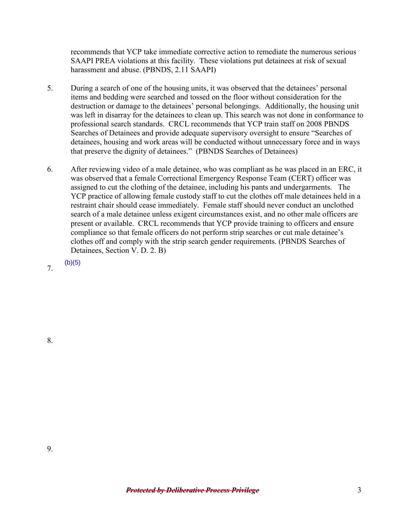harassment and abuse. (PBNDS, 2.11 SAAPI) recommends that YCP take immediate corrective action to remediate the numerous serious SAAPI PREA violations at this facility. These violations put detainees at risk of sexual

- 5. During a search of one of the housing units, it was observed that the detainees' personal items and bedding were searched and tossed on the floor without consideration for the destruction or damage to the detainees' personal belongings. Additionally, the housing unit was left in disarray for the detainees to clean up. This search was not done in conformance to professional search standards. CRCL recommends that YCP train staff on 2008 PBNDS Searches of Detainees and provide adequate supervisory oversight to ensure "Searches of detainees, housing and work areas will be conducted without unnecessary force and in ways that preserve the dignity of detainees." (PBNDS Searches of Detainees)
- was observed that a female Correctional Emergency Response Team (CERT) officer was restraint chair should cease immediately. Female staff should never conduct an unclothed Detainees, Section V. D. 2. B)<br>
7. (b)(5) 6. After reviewing video of a male detainee, who was compliant as he was placed in an ERC, it assigned to cut the clothing of the detainee, including his pants and undergarments. The YCP practice of allowing female custody staff to cut the clothes off male detainees held in a search of a male detainee unless exigent circumstances exist, and no other male officers are present or available. CRCL recommends that YCP provide training to officers and ensure compliance so that female officers do not perform strip searches or cut male detainee's clothes off and comply with the strip search gender requirements. (PBNDS Searches of

 $(b)(5)$ 

8.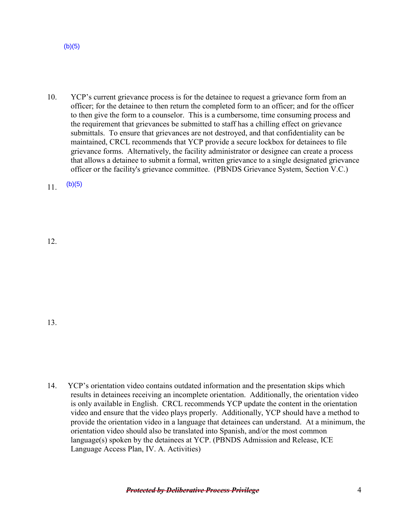language(s) spoken by the detainees at YCP. (PBNDS Admission and Release, ICE Language Access Plan, IV. A. Activities)

14. YCP's orientation video contains outdated information and the presentation skips which

orientation video should also be translated into Spanish, and/or the most common

results in detainees receiving an incomplete orientation. Additionally, the orientation video is only available in English. CRCL recommends YCP update the content in the orientation video and ensure that the video plays properly. Additionally, YCP should have a method to provide the orientation video in a language that detainees can understand. At a minimum, the

## $(b)(5)$

 to then give the form to a counselor. This is a cumbersome, time consuming process and submittals. To ensure that grievances are not destroyed, and that confidentiality can be 10. YCP's current grievance process is for the detainee to request a grievance form from an officer; for the detainee to then return the completed form to an officer; and for the officer the requirement that grievances be submitted to staff has a chilling effect on grievance maintained, CRCL recommends that YCP provide a secure lockbox for detainees to file grievance forms. Alternatively, the facility administrator or designee can create a process that allows a detainee to submit a formal, written grievance to a single designated grievance officer or the facility's grievance committee. (PBNDS Grievance System, Section V.C.)

11.  $(b)(5)$ 

12.

13.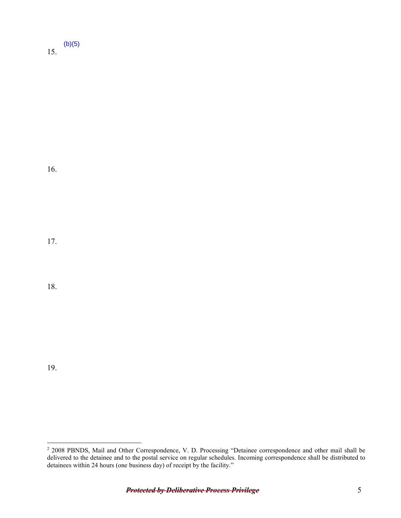15.  $(b)(5)$ 

16.

17.

18.

19.

 $\overline{a}$ 

<sup>&</sup>lt;sup>2</sup> 2008 PBNDS, Mail and Other Correspondence, V. D. Processing "Detainee correspondence and other mail shall be delivered to the detainee and to the postal service on regular schedules. Incoming correspondence shall be distributed to detainees within 24 hours (one business day) of receipt by the facility."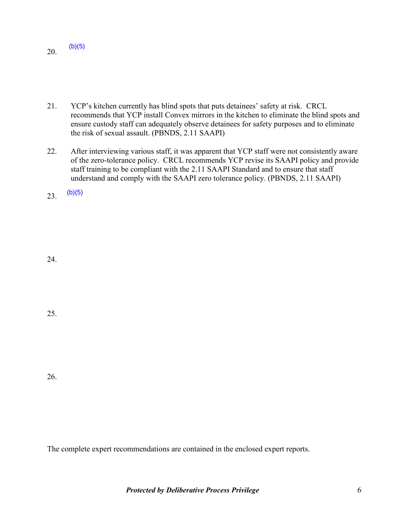20.  $(b)(5)$ 

- 21. YCP's kitchen currently has blind spots that puts detainees' safety at risk. CRCL the risk of sexual assault. (PBNDS, 2.11 SAAPI) recommends that YCP install Convex mirrors in the kitchen to eliminate the blind spots and ensure custody staff can adequately observe detainees for safety purposes and to eliminate
- 22. After interviewing various staff, it was apparent that YCP staff were not consistently aware of the zero-tolerance policy. CRCL recommends YCP revise its SAAPI policy and provide staff training to be compliant with the 2.11 SAAPI Standard and to ensure that staff understand and comply with the SAAPI zero tolerance policy. (PBNDS, 2.11 SAAPI)

23.  $(b)(5)$ 

24.

25.

26.

The complete expert recommendations are contained in the enclosed expert reports.